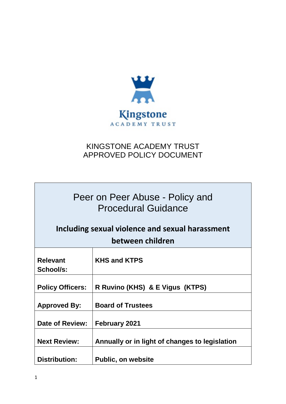

# KINGSTONE ACADEMY TRUST APPROVED POLICY DOCUMENT

÷

| Peer on Peer Abuse - Policy and<br><b>Procedural Guidance</b><br>Including sexual violence and sexual harassment<br>between children |                                                |
|--------------------------------------------------------------------------------------------------------------------------------------|------------------------------------------------|
|                                                                                                                                      |                                                |
| <b>Relevant</b>                                                                                                                      | <b>KHS and KTPS</b>                            |
| School/s:                                                                                                                            |                                                |
|                                                                                                                                      |                                                |
| <b>Policy Officers:</b>                                                                                                              | R Ruvino (KHS) & E Vigus (KTPS)                |
|                                                                                                                                      |                                                |
| <b>Approved By:</b>                                                                                                                  | <b>Board of Trustees</b>                       |
| Date of Review:                                                                                                                      | <b>February 2021</b>                           |
|                                                                                                                                      |                                                |
| <b>Next Review:</b>                                                                                                                  | Annually or in light of changes to legislation |
|                                                                                                                                      |                                                |
| <b>Distribution:</b>                                                                                                                 | <b>Public, on website</b>                      |

 $\overline{\phantom{a}}$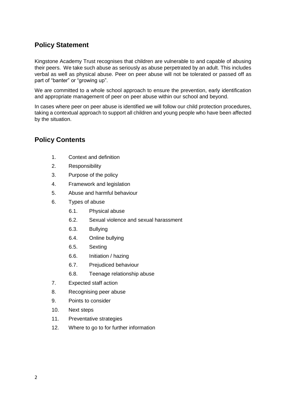## **Policy Statement**

Kingstone Academy Trust recognises that children are vulnerable to and capable of abusing their peers. We take such abuse as seriously as abuse perpetrated by an adult. This includes verbal as well as physical abuse. Peer on peer abuse will not be tolerated or passed off as part of "banter" or "growing up".

We are committed to a whole school approach to ensure the prevention, early identification and appropriate management of peer on peer abuse within our school and beyond.

In cases where peer on peer abuse is identified we will follow our child protection procedures, taking a contextual approach to support all children and young people who have been affected by the situation.

## **Policy Contents**

- 1. Context and definition
- 2. Responsibility
- 3. Purpose of the policy
- 4. Framework and legislation
- 5. Abuse and harmful behaviour
- 6. Types of abuse
	- 6.1. Physical abuse
	- 6.2. Sexual violence and sexual harassment
	- 6.3. Bullying
	- 6.4. Online bullying
	- 6.5. Sexting
	- 6.6. Initiation / hazing
	- 6.7. Prejudiced behaviour
	- 6.8. Teenage relationship abuse
- 7. Expected staff action
- 8. Recognising peer abuse
- 9. Points to consider
- 10. Next steps
- 11. Preventative strategies
- 12. Where to go to for further information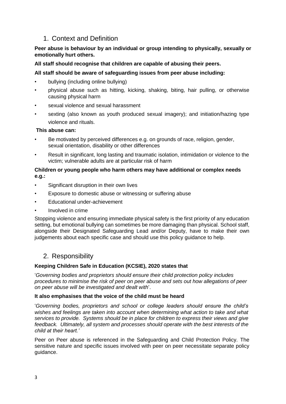## 1. Context and Definition

### **Peer abuse is behaviour by an individual or group intending to physically, sexually or emotionally hurt others.**

### **All staff should recognise that children are capable of abusing their peers.**

### **All staff should be aware of safeguarding issues from peer abuse including:**

- bullying (including online bullying)
- physical abuse such as hitting, kicking, shaking, biting, hair pulling, or otherwise causing physical harm
- sexual violence and sexual harassment
- sexting (also known as youth produced sexual imagery); and initiation/hazing type violence and rituals.

#### **This abuse can:**

- Be motivated by perceived differences e.g. on grounds of race, religion, gender, sexual orientation, disability or other differences
- Result in significant, long lasting and traumatic isolation, intimidation or violence to the victim; vulnerable adults are at particular risk of harm

### **Children or young people who harm others may have additional or complex needs e.g.:**

- Significant disruption in their own lives
- Exposure to domestic abuse or witnessing or suffering abuse
- Educational under-achievement
- Involved in crime

Stopping violence and ensuring immediate physical safety is the first priority of any education setting, but emotional bullying can sometimes be more damaging than physical. School staff, alongside their Designated Safeguarding Lead and/or Deputy, have to make their own judgements about each specific case and should use this policy guidance to help.

## 2. Responsibility

## **Keeping Children Safe in Education (KCSIE), 2020 states that**

'*Governing bodies and proprietors should ensure their child protection policy includes procedures to minimise the risk of peer on peer abuse and sets out how allegations of peer on peer abuse will be investigated and dealt with*'.

#### **It also emphasises that the voice of the child must be heard**

'*Governing bodies, proprietors and school or college leaders should ensure the child's wishes and feelings are taken into account when determining what action to take and what services to provide. Systems should be in place for children to express their views and give feedback. Ultimately, all system and processes should operate with the best interests of the child at their heart.'* 

Peer on Peer abuse is referenced in the Safeguarding and Child Protection Policy. The sensitive nature and specific issues involved with peer on peer necessitate separate policy guidance.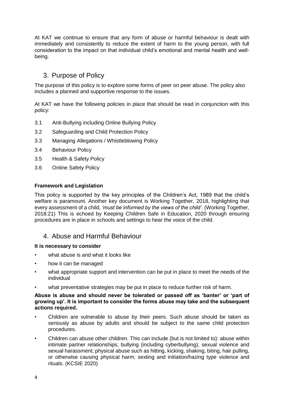At KAT we continue to ensure that any form of abuse or harmful behaviour is dealt with immediately and consistently to reduce the extent of harm to the young person, with full consideration to the impact on that individual child's emotional and mental health and wellbeing.

## 3. Purpose of Policy

The purpose of this policy is to explore some forms of peer on peer abuse. The policy also includes a planned and supportive response to the issues.

At KAT we have the following policies in place that should be read in conjunction with this policy:

- 3.1 Anti-Bullying including Online Bullying Policy
- 3.2 Safeguarding and Child Protection Policy
- 3.3 Managing Allegations / Whistleblowing Policy
- 3.4 Behaviour Policy
- 3.5 Health & Safety Policy
- 3.6 Online Safety Policy

#### **Framework and Legislation**

This policy is supported by the key principles of the Children's Act, 1989 that the child's welfare is paramount. Another key document is Working Together, 2018, highlighting that every assessment of a child, *'must be informed by the views of the child'.* (Working Together, 2018:21) This is echoed by Keeping Children Safe in Education, 2020 through ensuring procedures are in place in schools and settings to hear the voice of the child.

## 4. Abuse and Harmful Behaviour

#### **It is necessary to consider**

- what abuse is and what it looks like
- how it can be managed
- what appropriate support and intervention can be put in place to meet the needs of the individual
- what preventative strategies may be put in place to reduce further risk of harm.

#### **Abuse is abuse and should never be tolerated or passed off as 'banter' or 'part of growing up'. It is important to consider the forms abuse may take and the subsequent actions required.**

- Children are vulnerable to abuse by their peers. Such abuse should be taken as seriously as abuse by adults and should be subject to the same child protection procedures.
- Children can abuse other children. This can include (but is not limited to): abuse within intimate partner relationships; bullying (including cyberbullying); sexual violence and sexual harassment; physical abuse such as hitting, kicking, shaking, biting, hair pulling, or otherwise causing physical harm; sexting and initiation/hazing type violence and rituals. (KCSIE 2020)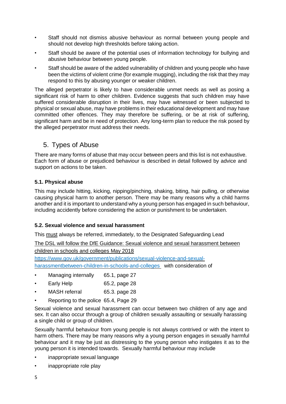- Staff should not dismiss abusive behaviour as normal between young people and should not develop high thresholds before taking action.
- Staff should be aware of the potential uses of information technology for bullying and abusive behaviour between young people.
- Staff should be aware of the added vulnerability of children and young people who have been the victims of violent crime (for example mugging), including the risk that they may respond to this by abusing younger or weaker children.

The alleged perpetrator is likely to have considerable unmet needs as well as posing a significant risk of harm to other children. Evidence suggests that such children may have suffered considerable disruption in their lives, may have witnessed or been subjected to physical or [sexual abuse,](http://trixresources.proceduresonline.com/nat_key/keywords/sexual_abuse.html) may have problems in their educational development and may have committed other offences. They may therefore be suffering, or be at risk of suffering, [significant](http://trixresources.proceduresonline.com/nat_key/keywords/significant_harm.html) harm [a](http://trixresources.proceduresonline.com/nat_key/keywords/significant_harm.html)nd be in need of protection. Any long-term plan to reduce the risk posed by the alleged perpetrator must address their needs.

## 5. Types of Abuse

There are many forms of abuse that may occur between peers and this list is not exhaustive. Each form of abuse or prejudiced behaviour is described in detail followed by advice and support on actions to be taken.

## **5.1. Physical abuse**

This may include hitting, kicking, nipping/pinching, shaking, biting, hair pulling, or otherwise causing physical harm to another person. There may be many reasons why a child harms another and it is important to understand why a young person has engaged in such behaviour, including accidently before considering the action or punishment to be undertaken.

## **5.2. Sexual violence and sexual harassment**

This must always be referred, immediately, to the Designated Safeguarding Lead

The DSL will follow the DfE Guidance: [Sexual violence and sexual harassment between](https://www.gov.uk/government/uploads/system/uploads/attachment_data/file/719902/Sexual_violence_and_sexual_harassment_between_children_in_schools_and_colleges.pdf)  [children in schools and colleges](https://www.gov.uk/government/uploads/system/uploads/attachment_data/file/719902/Sexual_violence_and_sexual_harassment_between_children_in_schools_and_colleges.pdf) [M](https://www.gov.uk/government/uploads/system/uploads/attachment_data/file/719902/Sexual_violence_and_sexual_harassment_between_children_in_schools_and_colleges.pdf)ay 2018

[https://www.gov.uk/government/publications/sexual-violence-and-sexual-](https://www.gov.uk/government/publications/sexual-violence-and-sexual-harassment-between-children-in-schools-and-colleges)

[harassmentbetween-children-in-schools-and-colleges](https://www.gov.uk/government/publications/sexual-violence-and-sexual-harassment-between-children-in-schools-and-colleges) with consideration of

- Managing internally 65.1, page 27
- Early Help 65.2, page 28
- MASH referral 65.3. page 28
- Reporting to the police 65.4, Page 29

Sexual violence and sexual harassment can occur between two children of any age and sex. It can also occur through a group of children sexually assaulting or sexually harassing a single child or group of children.

Sexually harmful behaviour from young people is not always contrived or with the intent to harm others. There may be many reasons why a young person engages in sexually harmful behaviour and it may be just as distressing to the young person who instigates it as to the young person it is intended towards. Sexually harmful behaviour may include

- inappropriate sexual language
- inappropriate role play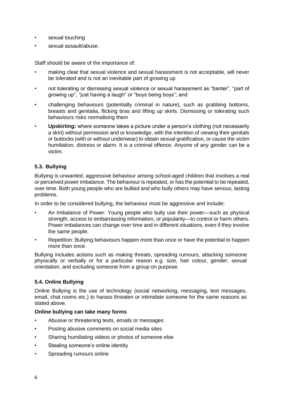- sexual touching
- sexual assault/abuse.

Staff should be aware of the importance of:

- making clear that sexual violence and sexual harassment is not acceptable, will never be tolerated and is not an inevitable part of growing up
- not tolerating or dismissing sexual violence or sexual harassment as "banter", "part of growing up", "just having a laugh" or "boys being boys"; and
- challenging behaviours (potentially criminal in nature), such as grabbing bottoms, breasts and genitalia, flicking bras and lifting up skirts. Dismissing or tolerating such behaviours risks normalising them
- **Upskirting:** where someone takes a picture under a person's clothing (not necessarily a skirt) without permission and or knowledge, with the intention of viewing their genitals or buttocks (with or without underwear) to obtain sexual gratification, or cause the victim humiliation, distress or alarm. It is a criminal offence. Anyone of any gender can be a victim.

## **5.3. Bullying**

Bullying is unwanted, aggressive behaviour among school-aged children that involves a real or perceived power imbalance. The behaviour is repeated, or has the potential to be repeated, over time. Both young people who are bullied and who bully others may have serious, lasting problems.

In order to be considered bullying, the behaviour must be aggressive and include:

- An Imbalance of Power: Young people who bully use their power—such as physical strength, access to embarrassing information, or popularity—to control or harm others. Power imbalances can change over time and in different situations, even if they involve the same people.
- Repetition: Bullying behaviours happen more than once or have the potential to happen more than once.

Bullying includes actions such as making threats, spreading rumours, attacking someone physically or verbally or for a particular reason e.g. size, hair colour, gender, sexual orientation, and excluding someone from a group on purpose.

#### **5.4. Online Bullying**

Online Bullying is the use of technology (social networking, messaging, text messages, email, chat rooms etc.) to harass threaten or intimidate someone for the same reasons as stated above.

#### **Online bullying can take many forms**

- Abusive or threatening texts, emails or messages
- Posting abusive comments on social media sites
- Sharing humiliating videos or photos of someone else
- Stealing someone's online identity
- Spreading rumours online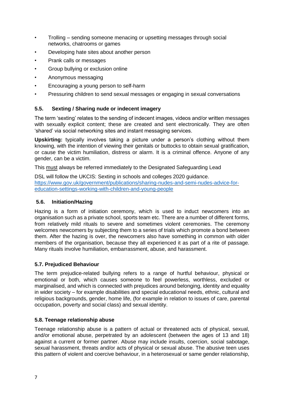- Trolling sending someone menacing or upsetting messages through social networks, chatrooms or games
- Developing hate sites about another person
- Prank calls or messages
- Group bullying or exclusion online
- Anonymous messaging
- Encouraging a young person to self-harm
- Pressuring children to send sexual messages or engaging in sexual conversations

## **5.5. Sexting / Sharing nude or indecent imagery**

The term 'sexting' relates to the sending of indecent images, videos and/or written messages with sexually explicit content; these are created and sent electronically. They are often 'shared' via social networking sites and instant messaging services.

**Upskirting:** typically involves taking a picture under a person's clothing without them knowing, with the intention of viewing their genitals or buttocks to obtain sexual gratification, or cause the victim humiliation, distress or alarm. It is a criminal offence. Anyone of any gender, can be a victim.

This must always be referred immediately to the Designated Safeguarding Lead

DSL will follow the UKCIS: Sexting in schools and colleges 2020 guidance. [https://www.gov.uk/government/publications/sharing-nudes-and-semi-nudes-advice-for](https://www.gov.uk/government/publications/sharing-nudes-and-semi-nudes-advice-for-education-settings-working-with-children-and-young-people)[education-settings-working-with-children-and-young-people](https://www.gov.uk/government/publications/sharing-nudes-and-semi-nudes-advice-for-education-settings-working-with-children-and-young-people)

### **5.6. Initiation/Hazing**

Hazing is a form of initiation ceremony, which is used to induct newcomers into an organisation such as a private school, sports team etc. There are a number of different forms, from relatively mild rituals to severe and sometimes violent ceremonies. The ceremony welcomes newcomers by subjecting them to a series of trials which promote a bond between them. After the hazing is over, the newcomers also have something in common with older members of the organisation, because they all experienced it as part of a rite of passage. Many rituals involve humiliation, embarrassment, abuse, and harassment.

## **5.7. Prejudiced Behaviour**

The term prejudice-related bullying refers to a range of hurtful behaviour, physical or emotional or both, which causes someone to feel powerless, worthless, excluded or marginalised, and which is connected with prejudices around belonging, identity and equality in wider society – for example disabilities and special educational needs, ethnic, cultural and religious backgrounds, gender, home life, (for example in relation to issues of care, parental occupation, poverty and social class) and sexual identity.

#### **5.8. Teenage relationship abuse**

Teenage relationship abuse is a pattern of actual or threatened acts of physical, sexual, and/or emotional abuse, perpetrated by an adolescent (between the ages of 13 and 18) against a current or former partner. Abuse may include insults, coercion, social sabotage, sexual harassment, threats and/or acts of physical or sexual abuse. The abusive teen uses this pattern of violent and coercive behaviour, in a heterosexual or same gender relationship,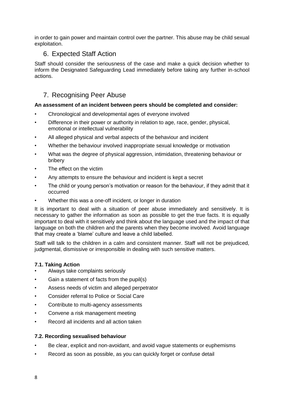in order to gain power and maintain control over the partner. This abuse may be child sexual exploitation.

## 6. Expected Staff Action

Staff should consider the seriousness of the case and make a quick decision whether to inform the Designated Safeguarding Lead immediately before taking any further in-school actions.

## 7. Recognising Peer Abuse

### **An assessment of an incident between peers should be completed and consider:**

- Chronological and developmental ages of everyone involved
- Difference in their power or authority in relation to age, race, gender, physical, emotional or intellectual vulnerability
- All alleged physical and verbal aspects of the behaviour and incident
- Whether the behaviour involved inappropriate sexual knowledge or motivation
- What was the degree of physical aggression, intimidation, threatening behaviour or bribery
- The effect on the victim
- Any attempts to ensure the behaviour and incident is kept a secret
- The child or young person's motivation or reason for the behaviour, if they admit that it occurred
- Whether this was a one-off incident, or longer in duration

It is important to deal with a situation of peer abuse immediately and sensitively. It is necessary to gather the information as soon as possible to get the true facts. It is equally important to deal with it sensitively and think about the language used and the impact of that language on both the children and the parents when they become involved. Avoid language that may create a 'blame' culture and leave a child labelled.

Staff will talk to the children in a calm and consistent manner. Staff will not be prejudiced, judgmental, dismissive or irresponsible in dealing with such sensitive matters.

## **7.1. Taking Action**

- Always take complaints seriously
- Gain a statement of facts from the pupil(s)
- Assess needs of victim and alleged perpetrator
- Consider referral to Police or Social Care
- Contribute to multi-agency assessments
- Convene a risk management meeting
- Record all incidents and all action taken

#### **7.2. Recording sexualised behaviour**

- Be clear, explicit and non-avoidant, and avoid vague statements or euphemisms
- Record as soon as possible, as you can quickly forget or confuse detail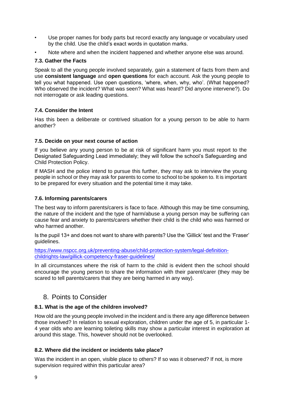- Use proper names for body parts but record exactly any language or vocabulary used by the child. Use the child's exact words in quotation marks.
- Note where and when the incident happened and whether anyone else was around.

## **7.3. Gather the Facts**

Speak to all the young people involved separately, gain a statement of facts from them and use **consistent language** and **open questions** for each account. Ask the young people to tell you what happened. Use open questions, 'where, when, why, who'. (What happened? Who observed the incident? What was seen? What was heard? Did anyone intervene?). Do not interrogate or ask leading questions.

## **7.4. Consider the Intent**

Has this been a deliberate or contrived situation for a young person to be able to harm another?

### **7.5. Decide on your next course of action**

If you believe any young person to be at risk of significant harm you must report to the Designated Safeguarding Lead immediately; they will follow the school's Safeguarding and Child Protection Policy.

If MASH and the police intend to pursue this further, they may ask to interview the young people in school or they may ask for parents to come to school to be spoken to. It is important to be prepared for every situation and the potential time it may take.

#### **7.6. Informing parents/carers**

The best way to inform parents/carers is face to face. Although this may be time consuming, the nature of the incident and the type of harm/abuse a young person may be suffering can cause fear and anxiety to parents/carers whether their child is the child who was harmed or who harmed another.

Is the pupil 13+ and does not want to share with parents? Use the 'Gillick' test and the 'Fraser' guidelines.

[https://www.nspcc.org.uk/preventing-abuse/child-protection-system/legal-definition](https://www.nspcc.org.uk/preventing-abuse/child-protection-system/legal-definition-child-rights-law/gillick-competency-fraser-guidelines/)[childrights-law/gillick-competency-fraser-guidelines/](https://www.nspcc.org.uk/preventing-abuse/child-protection-system/legal-definition-child-rights-law/gillick-competency-fraser-guidelines/)

In all circumstances where the risk of harm to the child is evident then the school should encourage the young person to share the information with their parent/carer (they may be scared to tell parents/carers that they are being harmed in any way).

## 8. Points to Consider

## **8.1. What is the age of the children involved?**

How old are the young people involved in the incident and is there any age difference between those involved? In relation to sexual exploration, children under the age of 5, in particular 1- 4 year olds who are learning toileting skills may show a particular interest in exploration at around this stage. This, however should not be overlooked.

## **8.2. Where did the incident or incidents take place?**

Was the incident in an open, visible place to others? If so was it observed? If not, is more supervision required within this particular area?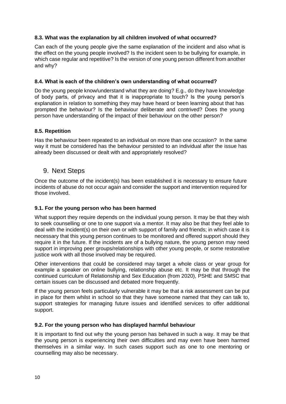### **8.3. What was the explanation by all children involved of what occurred?**

Can each of the young people give the same explanation of the incident and also what is the effect on the young people involved? Is the incident seen to be bullying for example, in which case regular and repetitive? Is the version of one young person different from another and why?

### **8.4. What is each of the children's own understanding of what occurred?**

Do the young people know/understand what they are doing? E.g., do they have knowledge of body parts, of privacy and that it is inappropriate to touch? Is the young person's explanation in relation to something they may have heard or been learning about that has prompted the behaviour? Is the behaviour deliberate and contrived? Does the young person have understanding of the impact of their behaviour on the other person?

### **8.5. Repetition**

Has the behaviour been repeated to an individual on more than one occasion? In the same way it must be considered has the behaviour persisted to an individual after the issue has already been discussed or dealt with and appropriately resolved?

## 9. Next Steps

Once the outcome of the incident(s) has been established it is necessary to ensure future incidents of abuse do not occur again and consider the support and intervention required for those involved.

## **9.1. For the young person who has been harmed**

What support they require depends on the individual young person. It may be that they wish to seek counselling or one to one support via a mentor. It may also be that they feel able to deal with the incident(s) on their own or with support of family and friends; in which case it is necessary that this young person continues to be monitored and offered support should they require it in the future. If the incidents are of a bullying nature, the young person may need support in improving peer groups/relationships with other young people, or some restorative justice work with all those involved may be required.

Other interventions that could be considered may target a whole class or year group for example a speaker on online bullying, relationship abuse etc. It may be that through the continued curriculum of Relationship and Sex Education (from 2020), PSHE and SMSC that certain issues can be discussed and debated more frequently.

If the young person feels particularly vulnerable it may be that a risk assessment can be put in place for them whilst in school so that they have someone named that they can talk to, support strategies for managing future issues and identified services to offer additional support.

#### **9.2. For the young person who has displayed harmful behaviour**

It is important to find out why the young person has behaved in such a way. It may be that the young person is experiencing their own difficulties and may even have been harmed themselves in a similar way. In such cases support such as one to one mentoring or counselling may also be necessary.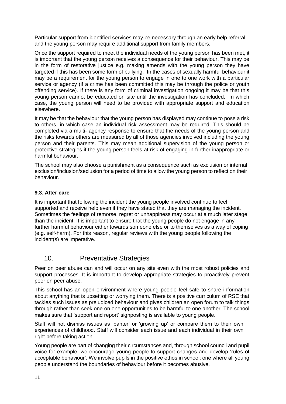Particular support from identified services may be necessary through an early help referral and the young person may require additional support from family members.

Once the support required to meet the individual needs of the young person has been met, it is important that the young person receives a consequence for their behaviour. This may be in the form of restorative justice e.g. making amends with the young person they have targeted if this has been some form of bullying. In the cases of sexually harmful behaviour it may be a requirement for the young person to engage in one to one work with a particular service or agency (if a crime has been committed this may be through the police or youth offending service). If there is any form of criminal investigation ongoing it may be that this young person cannot be educated on site until the investigation has concluded. In which case, the young person will need to be provided with appropriate support and education elsewhere.

It may be that the behaviour that the young person has displayed may continue to pose a risk to others, in which case an individual risk assessment may be required. This should be completed via a multi- agency response to ensure that the needs of the young person and the risks towards others are measured by all of those agencies involved including the young person and their parents. This may mean additional supervision of the young person or protective strategies if the young person feels at risk of engaging in further inappropriate or harmful behaviour.

The school may also choose a punishment as a consequence such as exclusion or internal exclusion/inclusion/seclusion for a period of time to allow the young person to reflect on their behaviour.

### **9.3. After care**

It is important that following the incident the young people involved continue to feel supported and receive help even if they have stated that they are managing the incident. Sometimes the feelings of remorse, regret or unhappiness may occur at a much later stage than the incident. It is important to ensure that the young people do not engage in any further harmful behaviour either towards someone else or to themselves as a way of coping (e.g. self-harm). For this reason, regular reviews with the young people following the incident(s) are imperative.

## 10. Preventative Strategies

Peer on peer abuse can and will occur on any site even with the most robust policies and support processes. It is important to develop appropriate strategies to proactively prevent peer on peer abuse.

This school has an open environment where young people feel safe to share information about anything that is upsetting or worrying them. There is a positive curriculum of RSE that tackles such issues as prejudiced behaviour and gives children an open forum to talk things through rather than seek one on one opportunities to be harmful to one another. The school makes sure that 'support and report' signposting is available to young people.

Staff will not dismiss issues as 'banter' or 'growing up' or compare them to their own experiences of childhood. Staff will consider each issue and each individual in their own right before taking action.

Young people are part of changing their circumstances and, through school council and pupil voice for example, we encourage young people to support changes and develop 'rules of acceptable behaviour'. We involve pupils in the positive ethos in school; one where all young people understand the boundaries of behaviour before it becomes abusive.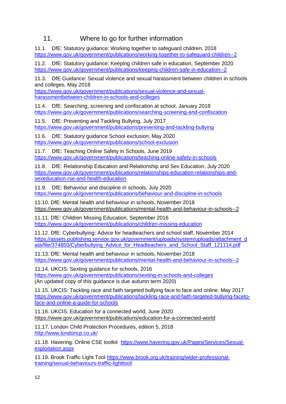## 11. Where to go for further information

11.1. DfE: Statutory guidance: Working together to safeguard children, 2018 <https://www.gov.uk/government/publications/working-together-to-safeguard-children--2>

11.2. DfE: Statutory guidance: Keeping children safe in education, September 2020 <https://www.gov.uk/government/publications/keeping-children-safe-in-education--2>

11.3. DfE Guidance: [Sexual violence and sexual harassment between children in schools](https://www.gov.uk/government/uploads/system/uploads/attachment_data/file/719902/Sexual_violence_and_sexual_harassment_between_children_in_schools_and_colleges.pdf)  [and colleges,](https://www.gov.uk/government/uploads/system/uploads/attachment_data/file/719902/Sexual_violence_and_sexual_harassment_between_children_in_schools_and_colleges.pdf) May 2018

[https://www.gov.uk/government/publications/sexual-violence-and-sexual](https://www.gov.uk/government/publications/sexual-violence-and-sexual-harassment-between-children-in-schools-and-colleges)[harassmentbetween-children-in-schools-and-colleges](https://www.gov.uk/government/publications/sexual-violence-and-sexual-harassment-between-children-in-schools-and-colleges)

11.4. DfE: Searching, screening and confiscation at school, January 2018 <https://www.gov.uk/government/publications/searching-screening-and-confiscation>

11.5. DfE: Preventing and Tackling Bullying, July 2017 <https://www.gov.uk/government/publications/preventing-and-tackling-bullying>

11.6. DfE: Statutory guidance School exclusion, May 2020 <https://www.gov.uk/government/publications/school-exclusion>

11.7. DfE: Teaching Online Safety in Schools, June 2019 <https://www.gov.uk/government/publications/teaching-online-safety-in-schools>

11.8. DfE: Relationship Education and Relationship and Sex Education, July 2020 [https://www.gov.uk/government/publications/relationships-education-relationships-and](https://www.gov.uk/government/publications/relationships-education-relationships-and-sex-education-rse-and-health-education)[sexeducation-rse-and-health-education](https://www.gov.uk/government/publications/relationships-education-relationships-and-sex-education-rse-and-health-education)

11.9. DfE: Behaviour and discipline in schools, July 2020 <https://www.gov.uk/government/publications/behaviour-and-discipline-in-schools>

11.10. DfE: Mental health and behaviour in schools, November 2018 <https://www.gov.uk/government/publications/mental-health-and-behaviour-in-schools--2>

11.11. DfE: Children Missing Education, September 2016 <https://www.gov.uk/government/publications/children-missing-education>

11.12. DfE: Cyberbullying: Advice for headteachers and school staff, November 2014 [https://assets.publishing.service.gov.uk/government/uploads/system/uploads/attachment\\_d](https://assets.publishing.service.gov.uk/government/uploads/system/uploads/attachment_data/file/374850/Cyberbullying_Advice_for_Headteachers_and_School_Staff_121114.pdf)  ata/file/374850/Cyberbullying Advice for Headteachers and School Staff 121114.pdf

11.13. DfE: Mental health and behaviour in schools, November 2018 <https://www.gov.uk/government/publications/mental-health-and-behaviour-in-schools--2>

11.14. UKCIS: Sexting guidance for schools, 2016 <https://www.gov.uk/government/publications/sexting-in-schools-and-colleges> (An updated copy of this guidance is due autumn term 2020)

11.15. UKCIS: Tackling race and faith targeted bullying face to face and online. May 2017 [https://www.gov.uk/government/publications/tackling-race-and-faith-targeted-bullying-faceto](https://www.gov.uk/government/publications/tackling-race-and-faith-targeted-bullying-face-to-face-and-online-a-guide-for-schools)[face-and-online-a-guide-for-schools](https://www.gov.uk/government/publications/tackling-race-and-faith-targeted-bullying-face-to-face-and-online-a-guide-for-schools)

11.16. UKCIS: Education for a connected world, June 2020 <https://www.gov.uk/government/publications/education-for-a-connected-world>

11.17. London Child Protection Procedures, edition 5, 2018 <http://www.londoncp.co.uk/>

11.18. Havering: Online CSE toolkit [https://www.havering.gov.uk/Pages/Services/Sexual](https://www.havering.gov.uk/Pages/Services/Sexual-exploitation.aspx)[exploitation.aspx](https://www.havering.gov.uk/Pages/Services/Sexual-exploitation.aspx)

11.19. Brook Traffic Light Tool [https://www.brook.org.uk/training/wider-professional](https://www.brook.org.uk/training/wider-professional-training/sexual-behaviours-traffic-light-tool/)[training/sexual-behaviours-traffic-lighttool/](https://www.brook.org.uk/training/wider-professional-training/sexual-behaviours-traffic-light-tool/)